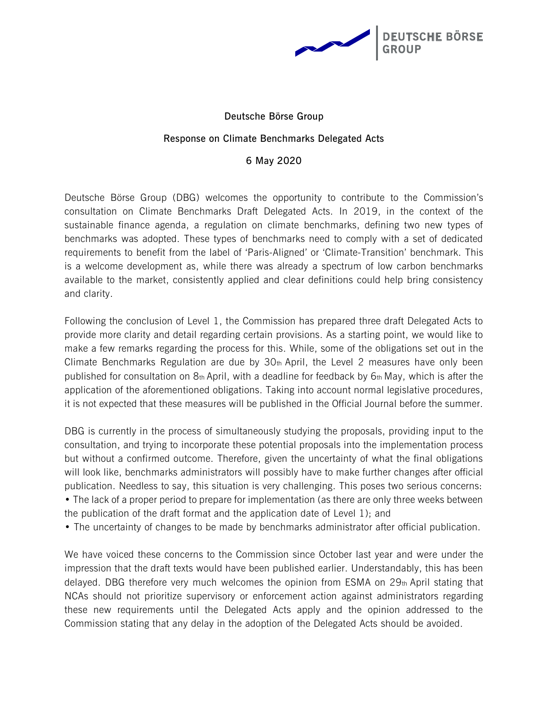

# **Deutsche Börse Group Response on Climate Benchmarks Delegated Acts 6 May 2020**

Deutsche Börse Group (DBG) welcomes the opportunity to contribute to the Commission's consultation on Climate Benchmarks Draft Delegated Acts. In 2019, in the context of the sustainable finance agenda, a regulation on climate benchmarks, defining two new types of benchmarks was adopted. These types of benchmarks need to comply with a set of dedicated requirements to benefit from the label of 'Paris-Aligned' or 'Climate-Transition' benchmark. This is a welcome development as, while there was already a spectrum of low carbon benchmarks available to the market, consistently applied and clear definitions could help bring consistency and clarity.

Following the conclusion of Level 1, the Commission has prepared three draft Delegated Acts to provide more clarity and detail regarding certain provisions. As a starting point, we would like to make a few remarks regarding the process for this. While, some of the obligations set out in the Climate Benchmarks Regulation are due by  $30<sub>th</sub>$  April, the Level 2 measures have only been published for consultation on  $8<sub>th</sub>$  April, with a deadline for feedback by  $6<sub>th</sub>$  May, which is after the application of the aforementioned obligations. Taking into account normal legislative procedures, it is not expected that these measures will be published in the Official Journal before the summer.

DBG is currently in the process of simultaneously studying the proposals, providing input to the consultation, and trying to incorporate these potential proposals into the implementation process but without a confirmed outcome. Therefore, given the uncertainty of what the final obligations will look like, benchmarks administrators will possibly have to make further changes after official publication. Needless to say, this situation is very challenging. This poses two serious concerns: • The lack of a proper period to prepare for implementation (as there are only three weeks between the publication of the draft format and the application date of Level 1); and

• The uncertainty of changes to be made by benchmarks administrator after official publication.

We have voiced these concerns to the Commission since October last year and were under the impression that the draft texts would have been published earlier. Understandably, this has been delayed. DBG therefore very much welcomes the opinion from ESMA on 29th April stating that NCAs should not prioritize supervisory or enforcement action against administrators regarding these new requirements until the Delegated Acts apply and the opinion addressed to the Commission stating that any delay in the adoption of the Delegated Acts should be avoided.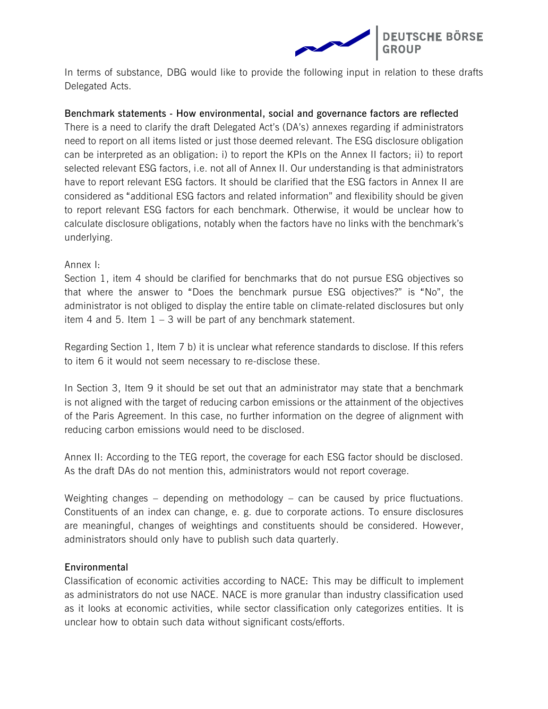

In terms of substance, DBG would like to provide the following input in relation to these drafts Delegated Acts.

### **Benchmark statements - How environmental, social and governance factors are reflected**

There is a need to clarify the draft Delegated Act's (DA's) annexes regarding if administrators need to report on all items listed or just those deemed relevant. The ESG disclosure obligation can be interpreted as an obligation: i) to report the KPIs on the Annex II factors; ii) to report selected relevant ESG factors, i.e. not all of Annex II. Our understanding is that administrators have to report relevant ESG factors. It should be clarified that the ESG factors in Annex II are considered as "additional ESG factors and related information" and flexibility should be given to report relevant ESG factors for each benchmark. Otherwise, it would be unclear how to calculate disclosure obligations, notably when the factors have no links with the benchmark's underlying.

## Annex I:

Section 1, item 4 should be clarified for benchmarks that do not pursue ESG objectives so that where the answer to "Does the benchmark pursue ESG objectives?" is "No", the administrator is not obliged to display the entire table on climate-related disclosures but only item 4 and 5. Item 1 – 3 will be part of any benchmark statement.

Regarding Section 1, Item 7 b) it is unclear what reference standards to disclose. If this refers to item 6 it would not seem necessary to re-disclose these.

In Section 3, Item 9 it should be set out that an administrator may state that a benchmark is not aligned with the target of reducing carbon emissions or the attainment of the objectives of the Paris Agreement. In this case, no further information on the degree of alignment with reducing carbon emissions would need to be disclosed.

Annex II: According to the TEG report, the coverage for each ESG factor should be disclosed. As the draft DAs do not mention this, administrators would not report coverage.

Weighting changes – depending on methodology – can be caused by price fluctuations. Constituents of an index can change, e. g. due to corporate actions. To ensure disclosures are meaningful, changes of weightings and constituents should be considered. However, administrators should only have to publish such data quarterly.

#### **Environmental**

Classification of economic activities according to NACE: This may be difficult to implement as administrators do not use NACE. NACE is more granular than industry classification used as it looks at economic activities, while sector classification only categorizes entities. It is unclear how to obtain such data without significant costs/efforts.